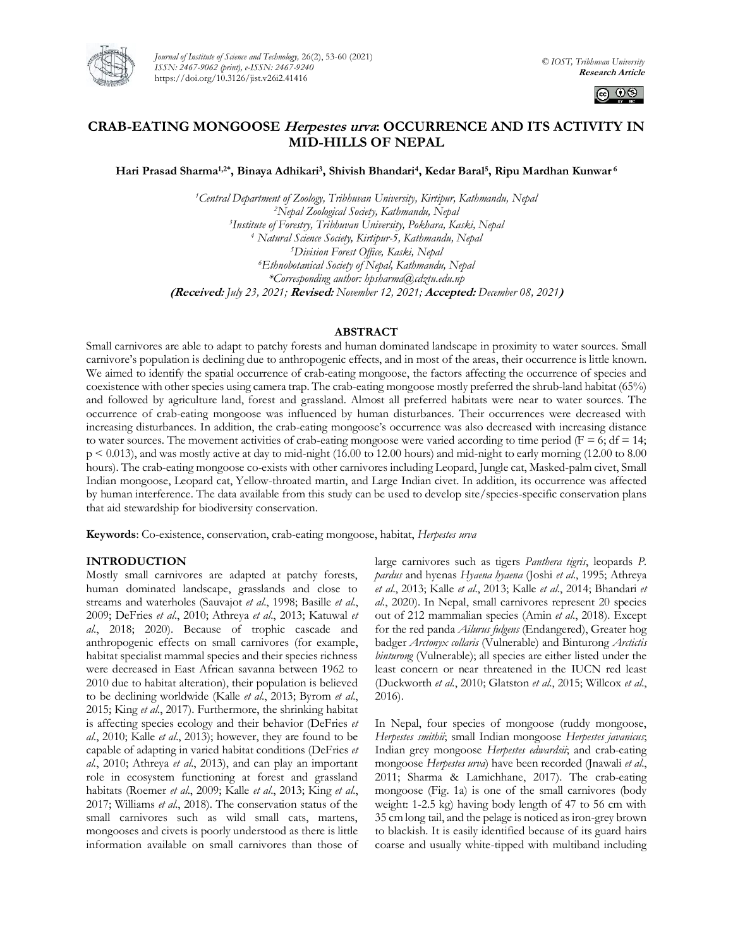

*Journal of Institute of Science and Technology,* 26(2), 53-60 (2021) *ISSN: 2467-9062 (print), e-ISSN: 2467-9240* https://doi.org/10.3126/jist.v26i2.41416



# **CRAB-EATING MONGOOSE Herpestes urva: OCCURRENCE AND ITS ACTIVITY IN MID-HILLS OF NEPAL**

**Hari Prasad Sharma1,2\*, Binaya Adhikari<sup>3</sup> , Shivish Bhandari<sup>4</sup> , Kedar Baral<sup>5</sup> , Ripu Mardhan Kunwar <sup>6</sup>**

*Central Department of Zoology, Tribhuvan University, Kirtipur, Kathmandu, Nepal Nepal Zoological Society, Kathmandu, Nepal Institute of Forestry, Tribhuvan University, Pokhara, Kaski, Nepal Natural Science Society, Kirtipur-5, Kathmandu, Nepal Division Forest Office, Kaski, Nepal Ethnobotanical Society of Nepal, Kathmandu, Nepal \*Corresponding author: hpsharma@cdztu.edu.np* **(Received:** *July 23, 2021;* **Revised:** *November 12, 2021;* **Accepted:** *December 08, 2021***)**

## **ABSTRACT**

Small carnivores are able to adapt to patchy forests and human dominated landscape in proximity to water sources. Small carnivore's population is declining due to anthropogenic effects, and in most of the areas, their occurrence is little known. We aimed to identify the spatial occurrence of crab-eating mongoose, the factors affecting the occurrence of species and coexistence with other species using camera trap. The crab-eating mongoose mostly preferred the shrub-land habitat (65%) and followed by agriculture land, forest and grassland. Almost all preferred habitats were near to water sources. The occurrence of crab-eating mongoose was influenced by human disturbances. Their occurrences were decreased with increasing disturbances. In addition, the crab-eating mongoose's occurrence was also decreased with increasing distance to water sources. The movement activities of crab-eating mongoose were varied according to time period ( $F = 6$ ; df = 14; p < 0.013), and was mostly active at day to mid-night (16.00 to 12.00 hours) and mid-night to early morning (12.00 to 8.00 hours). The crab-eating mongoose co-exists with other carnivores including Leopard, Jungle cat, Masked-palm civet, Small Indian mongoose, Leopard cat, Yellow-throated martin, and Large Indian civet. In addition, its occurrence was affected by human interference. The data available from this study can be used to develop site/species-specific conservation plans that aid stewardship for biodiversity conservation.

**Keywords**: Co-existence, conservation, crab-eating mongoose, habitat, *Herpestes urva*

## **INTRODUCTION**

Mostly small carnivores are adapted at patchy forests, human dominated landscape, grasslands and close to streams and waterholes (Sauvajot *et al*., 1998; Basille *et al*., 2009; DeFries *et al*., 2010; Athreya *et al*., 2013; Katuwal *et al*., 2018; 2020). Because of trophic cascade and anthropogenic effects on small carnivores (for example, habitat specialist mammal species and their species richness were decreased in East African savanna between 1962 to 2010 due to habitat alteration), their population is believed to be declining worldwide (Kalle *et al*., 2013; Byrom *et al*., 2015; King *et al*., 2017). Furthermore, the shrinking habitat is affecting species ecology and their behavior (DeFries *et al*., 2010; Kalle *et al*., 2013); however, they are found to be capable of adapting in varied habitat conditions (DeFries *et al.*, 2010; Athreya *et al*., 2013), and can play an important role in ecosystem functioning at forest and grassland habitats (Roemer *et al*., 2009; Kalle *et al*., 2013; King *et al*., 2017; Williams *et al*., 2018). The conservation status of the small carnivores such as wild small cats, martens, mongooses and civets is poorly understood as there is little information available on small carnivores than those of

large carnivores such as tigers *Panthera tigris*, leopards *P. pardus* and hyenas *Hyaena hyaena* (Joshi *et al*., 1995; Athreya *et al*., 2013; Kalle *et al*., 2013; Kalle *et al*., 2014; Bhandari *et al*., 2020). In Nepal, small carnivores represent 20 species out of 212 mammalian species (Amin *et al*., 2018). Except for the red panda *Ailurus fulgens* (Endangered), Greater hog badger *Arctonyx collaris* (Vulnerable) and Binturong *Arctictis binturong* (Vulnerable); all species are either listed under the least concern or near threatened in the IUCN red least (Duckworth *et al.*, 2010; Glatston *et al*., 2015; Willcox *et al*., 2016).

In Nepal, four species of mongoose (ruddy mongoose, *Herpestes smithii*; small Indian mongoose *Herpestes javanicus*; Indian grey mongoose *Herpestes edwardsii*; and crab-eating mongoose *Herpestes urva*) have been recorded (Jnawali *et al*., 2011; Sharma & Lamichhane, 2017). The crab-eating mongoose (Fig. 1a) is one of the small carnivores (body weight: 1-2.5 kg) having body length of 47 to 56 cm with 35 cm long tail, and the pelage is noticed as iron-grey brown to blackish. It is easily identified because of its guard hairs coarse and usually white-tipped with multiband including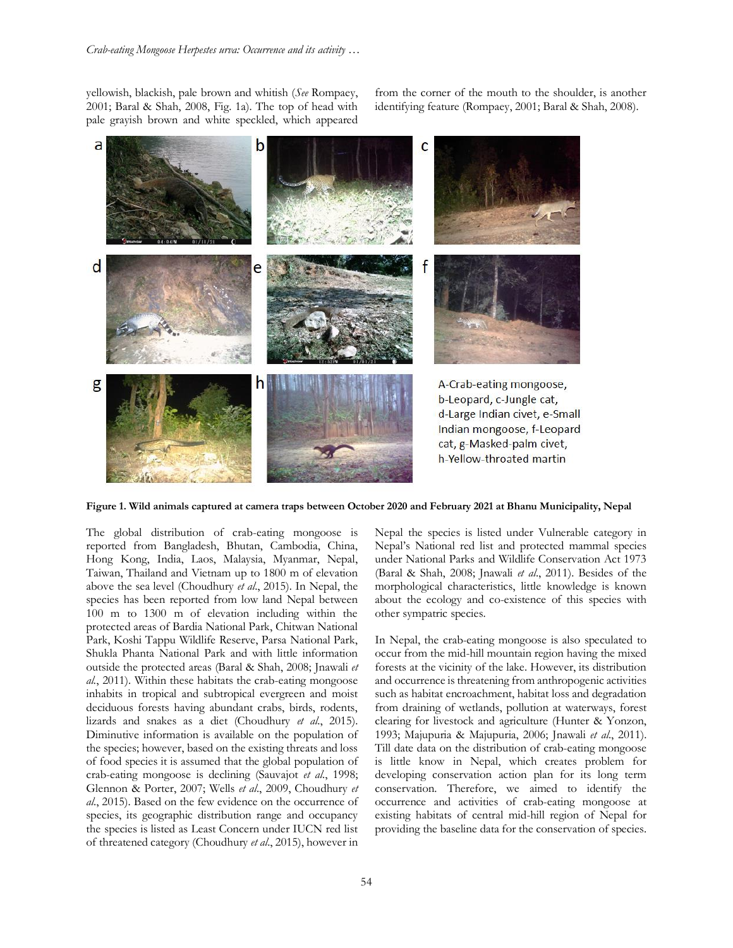yellowish, blackish, pale brown and whitish (*See* Rompaey, 2001; Baral & Shah, 2008, Fig. 1a). The top of head with pale grayish brown and white speckled, which appeared

from the corner of the mouth to the shoulder, is another identifying feature (Rompaey, 2001; Baral & Shah, 2008).



**Figure 1. Wild animals captured at camera traps between October 2020 and February 2021 at Bhanu Municipality, Nepal**

The global distribution of crab-eating mongoose is reported from Bangladesh, Bhutan, Cambodia, China, Hong Kong, India, Laos, Malaysia, Myanmar, Nepal, Taiwan, Thailand and Vietnam up to 1800 m of elevation above the sea level (Choudhury *et al*., 2015). In Nepal, the species has been reported from low land Nepal between 100 m to 1300 m of elevation including within the protected areas of Bardia National Park, Chitwan National Park, Koshi Tappu Wildlife Reserve, Parsa National Park, Shukla Phanta National Park and with little information outside the protected areas (Baral & Shah, 2008; Jnawali *et al.*, 2011). Within these habitats the crab-eating mongoose inhabits in tropical and subtropical evergreen and moist deciduous forests having abundant crabs, birds, rodents, lizards and snakes as a diet (Choudhury *et al*., 2015). Diminutive information is available on the population of the species; however, based on the existing threats and loss of food species it is assumed that the global population of crab-eating mongoose is declining (Sauvajot *et al*., 1998; Glennon & Porter, 2007; Wells *et al*., 2009, Choudhury *et al*., 2015). Based on the few evidence on the occurrence of species, its geographic distribution range and occupancy the species is listed as Least Concern under IUCN red list of threatened category (Choudhury *et al*., 2015), however in Nepal the species is listed under Vulnerable category in Nepal's National red list and protected mammal species under National Parks and Wildlife Conservation Act 1973 (Baral & Shah, 2008; Jnawali *et al*., 2011). Besides of the morphological characteristics, little knowledge is known about the ecology and co-existence of this species with other sympatric species.

In Nepal, the crab-eating mongoose is also speculated to occur from the mid-hill mountain region having the mixed forests at the vicinity of the lake. However, its distribution and occurrence is threatening from anthropogenic activities such as habitat encroachment, habitat loss and degradation from draining of wetlands, pollution at waterways, forest clearing for livestock and agriculture (Hunter & Yonzon, 1993; Majupuria & Majupuria, 2006; Jnawali *et al*., 2011). Till date data on the distribution of crab-eating mongoose is little know in Nepal, which creates problem for developing conservation action plan for its long term conservation. Therefore, we aimed to identify the occurrence and activities of crab-eating mongoose at existing habitats of central mid-hill region of Nepal for providing the baseline data for the conservation of species.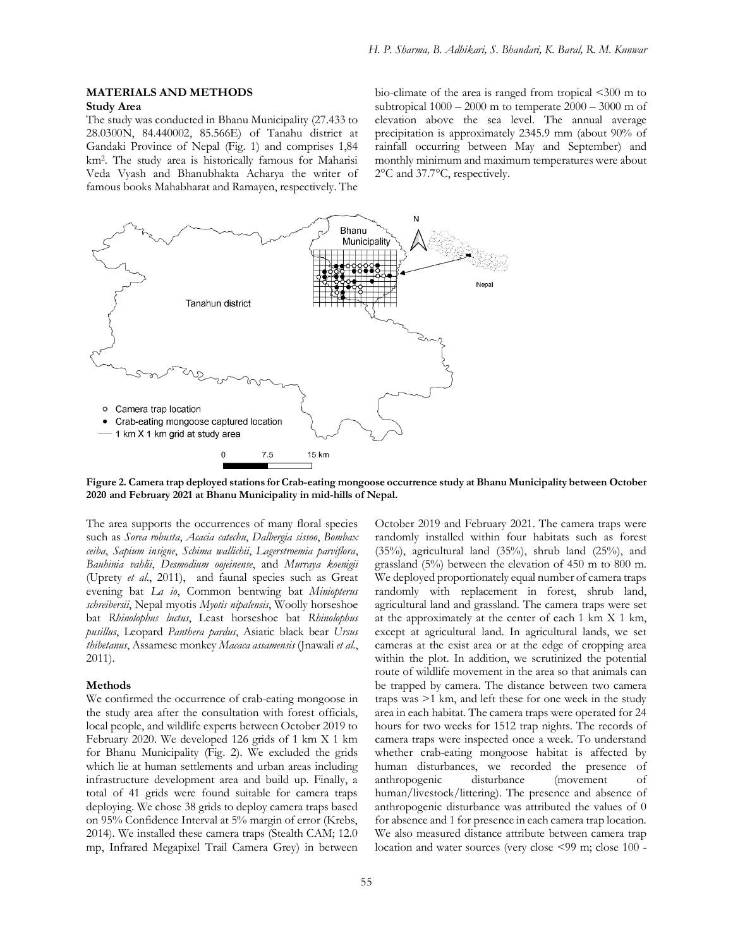## **MATERIALS AND METHODS Study Area**

The study was conducted in Bhanu Municipality (27.433 to 28.0300N, 84.440002, 85.566E) of Tanahu district at Gandaki Province of Nepal (Fig. 1) and comprises 1,84 km<sup>2</sup> . The study area is historically famous for Maharisi Veda Vyash and Bhanubhakta Acharya the writer of famous books Mahabharat and Ramayen, respectively. The

bio-climate of the area is ranged from tropical <300 m to subtropical  $1000 - 2000$  m to temperate  $2000 - 3000$  m of elevation above the sea level. The annual average precipitation is approximately 2345.9 mm (about 90% of rainfall occurring between May and September) and monthly minimum and maximum temperatures were about 2°C and 37.7°C, respectively.



**Figure 2. Camera trap deployed stations for Crab-eating mongoose occurrence study at Bhanu Municipality between October 2020 and February 2021 at Bhanu Municipality in mid-hills of Nepal.**

The area supports the occurrences of many floral species such as *Sorea robusta*, *Acacia catechu*, *Dalbergia sissoo*, *Bombax ceiba*, *Sapium insigne*, *Schima wallichii*, *Lagerstroemia parviflora*, *Bauhinia vahlii*, *Desmodium oojeinense*, and *Murraya koenigii* (Uprety *et al*., 2011), and faunal species such as Great evening bat *La io*, Common bentwing bat *Miniopterus schreibersii*, Nepal myotis *Myotis nipalensis*, Woolly horseshoe bat *Rhinolophus luctus*, Least horseshoe bat *Rhinolophus pusillus*, Leopard *Panthera pardus*, Asiatic black bear *Ursus thibetanus*, Assamese monkey *Macaca assamensis* (Jnawali *et al*., 2011).

## **Methods**

We confirmed the occurrence of crab-eating mongoose in the study area after the consultation with forest officials, local people, and wildlife experts between October 2019 to February 2020. We developed 126 grids of 1 km X 1 km for Bhanu Municipality (Fig. 2). We excluded the grids which lie at human settlements and urban areas including infrastructure development area and build up. Finally, a total of 41 grids were found suitable for camera traps deploying. We chose 38 grids to deploy camera traps based on 95% Confidence Interval at 5% margin of error (Krebs, 2014). We installed these camera traps (Stealth CAM; 12.0 mp, Infrared Megapixel Trail Camera Grey) in between

October 2019 and February 2021. The camera traps were randomly installed within four habitats such as forest (35%), agricultural land (35%), shrub land (25%), and grassland (5%) between the elevation of 450 m to 800 m. We deployed proportionately equal number of camera traps randomly with replacement in forest, shrub land, agricultural land and grassland. The camera traps were set at the approximately at the center of each 1 km X 1 km, except at agricultural land. In agricultural lands, we set cameras at the exist area or at the edge of cropping area within the plot. In addition, we scrutinized the potential route of wildlife movement in the area so that animals can be trapped by camera. The distance between two camera traps was >1 km, and left these for one week in the study area in each habitat. The camera traps were operated for 24 hours for two weeks for 1512 trap nights. The records of camera traps were inspected once a week. To understand whether crab-eating mongoose habitat is affected by human disturbances, we recorded the presence of anthropogenic disturbance (movement of human/livestock/littering). The presence and absence of anthropogenic disturbance was attributed the values of 0 for absence and 1 for presence in each camera trap location. We also measured distance attribute between camera trap location and water sources (very close <99 m; close 100 -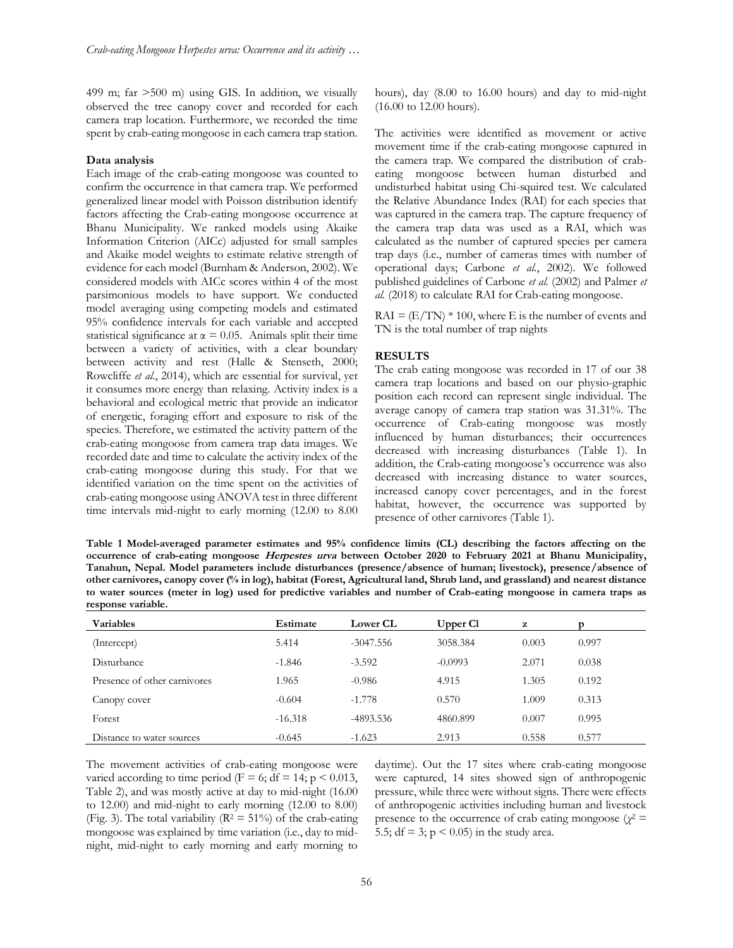499 m; far >500 m) using GIS. In addition, we visually observed the tree canopy cover and recorded for each camera trap location. Furthermore, we recorded the time spent by crab-eating mongoose in each camera trap station.

#### **Data analysis**

Each image of the crab-eating mongoose was counted to confirm the occurrence in that camera trap. We performed generalized linear model with Poisson distribution identify factors affecting the Crab-eating mongoose occurrence at Bhanu Municipality. We ranked models using Akaike Information Criterion (AICc) adjusted for small samples and Akaike model weights to estimate relative strength of evidence for each model (Burnham & Anderson, 2002). We considered models with AICc scores within 4 of the most parsimonious models to have support. We conducted model averaging using competing models and estimated 95% confidence intervals for each variable and accepted statistical significance at  $\alpha = 0.05$ . Animals split their time between a variety of activities, with a clear boundary between activity and rest (Halle & Stenseth, 2000; Rowcliffe *et al*., 2014), which are essential for survival, yet it consumes more energy than relaxing. Activity index is a behavioral and ecological metric that provide an indicator of energetic, foraging effort and exposure to risk of the species. Therefore, we estimated the activity pattern of the crab-eating mongoose from camera trap data images. We recorded date and time to calculate the activity index of the crab-eating mongoose during this study. For that we identified variation on the time spent on the activities of crab-eating mongoose using ANOVA test in three different time intervals mid-night to early morning (12.00 to 8.00 hours), day (8.00 to 16.00 hours) and day to mid-night (16.00 to 12.00 hours).

The activities were identified as movement or active movement time if the crab-eating mongoose captured in the camera trap. We compared the distribution of crabeating mongoose between human disturbed and undisturbed habitat using Chi-squired test. We calculated the Relative Abundance Index (RAI) for each species that was captured in the camera trap. The capture frequency of the camera trap data was used as a RAI, which was calculated as the number of captured species per camera trap days (i.e., number of cameras times with number of operational days; Carbone *et al.*, 2002). We followed published guidelines of Carbone *et al.* (2002) and Palmer *et al.* (2018) to calculate RAI for Crab-eating mongoose.

 $RAI = (E/TN) * 100$ , where E is the number of events and TN is the total number of trap nights

#### **RESULTS**

The crab eating mongoose was recorded in 17 of our 38 camera trap locations and based on our physio-graphic position each record can represent single individual. The average canopy of camera trap station was 31.31%. The occurrence of Crab-eating mongoose was mostly influenced by human disturbances; their occurrences decreased with increasing disturbances (Table 1). In addition, the Crab-eating mongoose's occurrence was also decreased with increasing distance to water sources, increased canopy cover percentages, and in the forest habitat, however, the occurrence was supported by presence of other carnivores (Table 1).

**Table 1 Model-averaged parameter estimates and 95% confidence limits (CL) describing the factors affecting on the occurrence of crab-eating mongoose Herpestes urva between October 2020 to February 2021 at Bhanu Municipality, Tanahun, Nepal. Model parameters include disturbances (presence/absence of human; livestock), presence/absence of other carnivores, canopy cover (% in log), habitat (Forest, Agricultural land, Shrub land, and grassland) and nearest distance to water sources (meter in log) used for predictive variables and number of Crab-eating mongoose in camera traps as response variable.** 

| <b>Variables</b>             | Estimate  | <b>Lower CL</b> | Upper Cl  | z     | D     |  |
|------------------------------|-----------|-----------------|-----------|-------|-------|--|
| (Intercept)                  | 5.414     | $-3047.556$     | 3058.384  | 0.003 | 0.997 |  |
| Disturbance                  | $-1.846$  | $-3.592$        | $-0.0993$ | 2.071 | 0.038 |  |
| Presence of other carnivores | 1.965     | $-0.986$        | 4.915     | 1.305 | 0.192 |  |
| Canopy cover                 | $-0.604$  | $-1.778$        | 0.570     | 1.009 | 0.313 |  |
| Forest                       | $-16.318$ | -4893.536       | 4860.899  | 0.007 | 0.995 |  |
| Distance to water sources    | $-0.645$  | $-1.623$        | 2.913     | 0.558 | 0.577 |  |

The movement activities of crab-eating mongoose were varied according to time period ( $F = 6$ ; df = 14; p < 0.013, Table 2), and was mostly active at day to mid-night (16.00 to 12.00) and mid-night to early morning (12.00 to 8.00) (Fig. 3). The total variability ( $R^2 = 51\%$ ) of the crab-eating mongoose was explained by time variation (i.e., day to midnight, mid-night to early morning and early morning to daytime). Out the 17 sites where crab-eating mongoose were captured, 14 sites showed sign of anthropogenic pressure, while three were without signs. There were effects of anthropogenic activities including human and livestock presence to the occurrence of crab eating mongoose ( $\chi^2$  = 5.5; df = 3;  $p$  < 0.05) in the study area.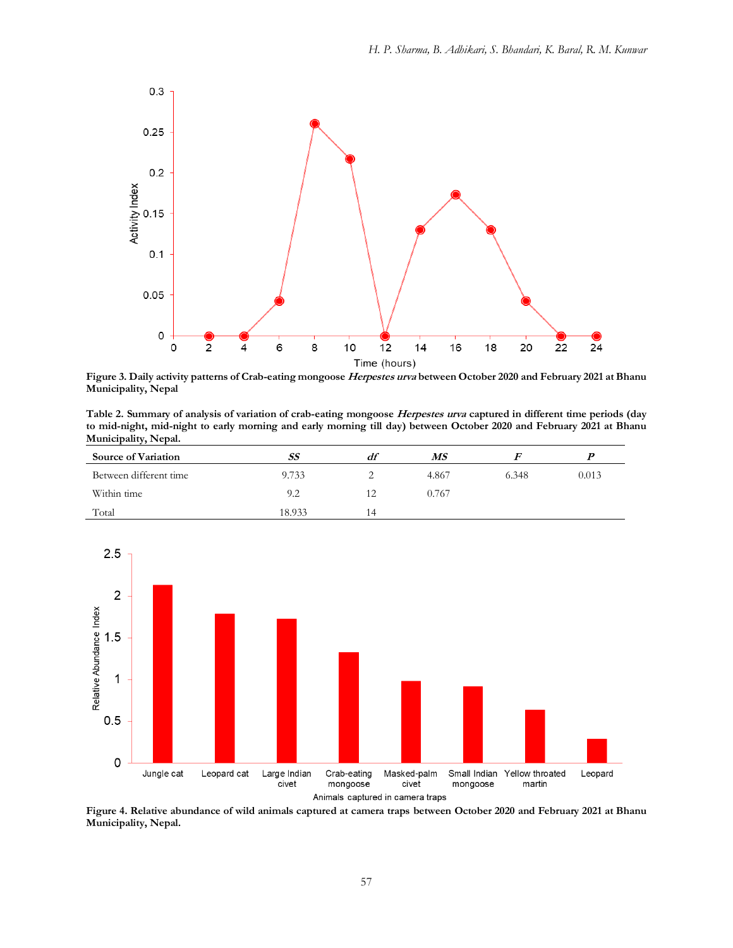

**Figure 3. Daily activity patterns of Crab-eating mongoose Herpestes urva between October 2020 and February 2021 at Bhanu Municipality, Nepal** 

**Table 2. Summary of analysis of variation of crab-eating mongoose Herpestes urva captured in different time periods (day to mid-night, mid-night to early morning and early morning till day) between October 2020 and February 2021 at Bhanu Municipality, Nepal.** 

| <b>Source of Variation</b> | SS     | df | МS    |       |       |
|----------------------------|--------|----|-------|-------|-------|
| Between different time     | 9.733  |    | 4.867 | 6.348 | 0.013 |
| Within time                | 9.2    | 运  | 0.767 |       |       |
| Total                      | 18.933 | 14 |       |       |       |



**Figure 4. Relative abundance of wild animals captured at camera traps between October 2020 and February 2021 at Bhanu Municipality, Nepal.**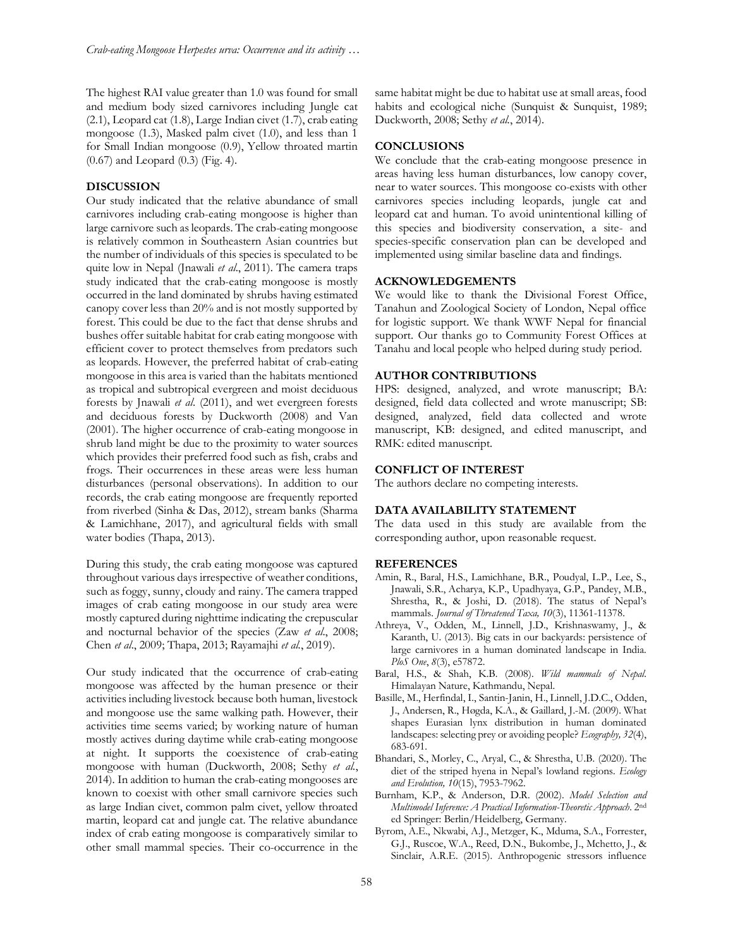The highest RAI value greater than 1.0 was found for small and medium body sized carnivores including Jungle cat (2.1), Leopard cat (1.8), Large Indian civet (1.7), crab eating mongoose (1.3), Masked palm civet (1.0), and less than 1 for Small Indian mongoose (0.9), Yellow throated martin (0.67) and Leopard (0.3) (Fig. 4).

## **DISCUSSION**

Our study indicated that the relative abundance of small carnivores including crab-eating mongoose is higher than large carnivore such as leopards. The crab-eating mongoose is relatively common in Southeastern Asian countries but the number of individuals of this species is speculated to be quite low in Nepal (Jnawali *et al*., 2011). The camera traps study indicated that the crab-eating mongoose is mostly occurred in the land dominated by shrubs having estimated canopy cover less than 20% and is not mostly supported by forest. This could be due to the fact that dense shrubs and bushes offer suitable habitat for crab eating mongoose with efficient cover to protect themselves from predators such as leopards. However, the preferred habitat of crab-eating mongoose in this area is varied than the habitats mentioned as tropical and subtropical evergreen and moist deciduous forests by Jnawali *et al*. (2011), and wet evergreen forests and deciduous forests by Duckworth (2008) and Van (2001). The higher occurrence of crab-eating mongoose in shrub land might be due to the proximity to water sources which provides their preferred food such as fish, crabs and frogs. Their occurrences in these areas were less human disturbances (personal observations). In addition to our records, the crab eating mongoose are frequently reported from riverbed (Sinha & Das, 2012), stream banks (Sharma & Lamichhane, 2017), and agricultural fields with small water bodies (Thapa, 2013).

During this study, the crab eating mongoose was captured throughout various days irrespective of weather conditions, such as foggy, sunny, cloudy and rainy. The camera trapped images of crab eating mongoose in our study area were mostly captured during nighttime indicating the crepuscular and nocturnal behavior of the species (Zaw *et al*., 2008; Chen *et al*., 2009; Thapa, 2013; Rayamajhi *et al.*, 2019).

Our study indicated that the occurrence of crab-eating mongoose was affected by the human presence or their activities including livestock because both human, livestock and mongoose use the same walking path. However, their activities time seems varied; by working nature of human mostly actives during daytime while crab-eating mongoose at night. It supports the coexistence of crab-eating mongoose with human (Duckworth, 2008; Sethy *et al.*, 2014). In addition to human the crab-eating mongooses are known to coexist with other small carnivore species such as large Indian civet, common palm civet, yellow throated martin, leopard cat and jungle cat. The relative abundance index of crab eating mongoose is comparatively similar to other small mammal species. Their co-occurrence in the

same habitat might be due to habitat use at small areas, food habits and ecological niche (Sunquist & Sunquist, 1989; Duckworth, 2008; Sethy *et al.*, 2014).

## **CONCLUSIONS**

We conclude that the crab-eating mongoose presence in areas having less human disturbances, low canopy cover, near to water sources. This mongoose co-exists with other carnivores species including leopards, jungle cat and leopard cat and human. To avoid unintentional killing of this species and biodiversity conservation, a site- and species-specific conservation plan can be developed and implemented using similar baseline data and findings.

## **ACKNOWLEDGEMENTS**

We would like to thank the Divisional Forest Office, Tanahun and Zoological Society of London, Nepal office for logistic support. We thank WWF Nepal for financial support. Our thanks go to Community Forest Offices at Tanahu and local people who helped during study period.

#### **AUTHOR CONTRIBUTIONS**

HPS: designed, analyzed, and wrote manuscript; BA: designed, field data collected and wrote manuscript; SB: designed, analyzed, field data collected and wrote manuscript, KB: designed, and edited manuscript, and RMK: edited manuscript.

#### **CONFLICT OF INTEREST**

The authors declare no competing interests.

## **DATA AVAILABILITY STATEMENT**

The data used in this study are available from the corresponding author, upon reasonable request.

## **REFERENCES**

- Amin, R., Baral, H.S., Lamichhane, B.R., Poudyal, L.P., Lee, S., Jnawali, S.R., Acharya, K.P., Upadhyaya, G.P., Pandey, M.B., Shrestha, R., & Joshi, D. (2018). The status of Nepal's mammals. *Journal of Threatened Taxa, 10*(3), 11361-11378.
- Athreya, V., Odden, M., Linnell, J.D., Krishnaswamy, J., & Karanth, U. (2013). Big cats in our backyards: persistence of large carnivores in a human dominated landscape in India. *PloS One*, *8*(3), e57872.
- Baral, H.S., & Shah, K.B. (2008). *Wild mammals of Nepal*. Himalayan Nature, Kathmandu, Nepal.
- Basille, M., Herfindal, I., Santin-Janin, H., Linnell, J.D.C., Odden, J., Andersen, R., Høgda, K.A., & Gaillard, J.-M. (2009). What shapes Eurasian lynx distribution in human dominated landscapes: selecting prey or avoiding people? *Ecography, 32*(4), 683-691.
- Bhandari, S., Morley, C., Aryal, C., & Shrestha, U.B. (2020). The diet of the striped hyena in Nepal's lowland regions. *Ecology and Evolution, 10*(15), 7953-7962.
- Burnham, K.P., & Anderson, D.R. (2002). *Model Selection and Multimodel Inference: A Practical Information-Theoretic Approach*. 2nd ed Springer: Berlin/Heidelberg, Germany.
- Byrom, A.E., Nkwabi, A.J., Metzger, K., Mduma, S.A., Forrester, G.J., Ruscoe, W.A., Reed, D.N., Bukombe, J., Mchetto, J., & Sinclair, A.R.E. (2015). Anthropogenic stressors influence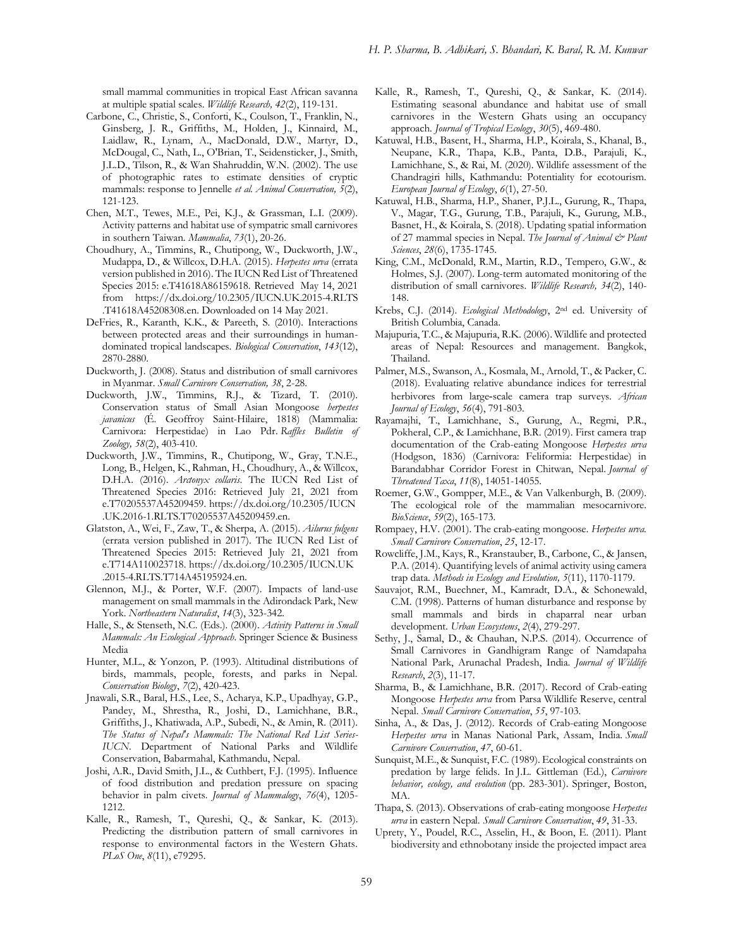small mammal communities in tropical East African savanna at multiple spatial scales. *Wildlife Research, 42*(2), 119-131.

- Carbone, C., Christie, S., Conforti, K., Coulson, T., Franklin, N., Ginsberg, J. R., Griffiths, M., Holden, J., Kinnaird, M., Laidlaw, R., Lynam, A., MacDonald, D.W., Martyr, D., McDougal, C., Nath, L., O'Brian, T., Seidensticker, J., Smith, J.L.D., Tilson, R., & Wan Shahruddin, W.N. (2002). The use of photographic rates to estimate densities of cryptic mammals: response to Jennelle *et al. Animal Conservation, 5*(2), 121-123.
- Chen, M.T., Tewes, M.E., Pei, K.J., & Grassman, L.I. (2009). Activity patterns and habitat use of sympatric small carnivores in southern Taiwan. *Mammalia*, *73*(1), 20-26.
- Choudhury, A., Timmins, R., Chutipong, W., Duckworth, J.W., Mudappa, D., & Willcox, D.H.A. (2015). *Herpestes urva* (errata version published in 2016). The IUCN Red List of Threatened Species 2015: e.T41618A86159618. Retrieved May 14, 2021 from https://dx.doi.org/10.2305/IUCN.UK.2015-4.RLTS .T41618A45208308.en. Downloaded on 14 May 2021.
- DeFries, R., Karanth, K.K., & Pareeth, S. (2010). Interactions between protected areas and their surroundings in humandominated tropical landscapes. *Biological Conservation*, *143*(12), 2870-2880.
- Duckworth, J. (2008). Status and distribution of small carnivores in Myanmar. *Small Carnivore Conservation, 38*, 2-28.
- Duckworth, J.W., Timmins, R.J., & Tizard, T. (2010). Conservation status of Small Asian Mongoose *herpestes javanicus* (É. Geoffroy Saint-Hilaire, 1818) (Mammalia: Carnivora: Herpestidae) in Lao Pdr. *Raffles Bulletin of Zoology, 58*(2), 403-410.
- Duckworth, J.W., Timmins, R., Chutipong, W., Gray, T.N.E., Long, B., Helgen, K., Rahman, H., Choudhury, A., & Willcox, D.H.A. (2016). *Arctonyx collaris*. The IUCN Red List of Threatened Species 2016: Retrieved July 21, 2021 from e.T70205537A45209459. https://dx.doi.org/10.2305/IUCN .UK.2016-1.RLTS.T70205537A45209459.en.
- Glatston, A., Wei, F., Zaw, T., & Sherpa, A. (2015). *Ailurus fulgens* (errata version published in 2017). The IUCN Red List of Threatened Species 2015: Retrieved July 21, 2021 from e.T714A110023718. https://dx.doi.org/10.2305/IUCN.UK .2015-4.RLTS.T714A45195924.en.
- Glennon, M.J., & Porter, W.F. (2007). Impacts of land-use management on small mammals in the Adirondack Park, New York. *Northeastern Naturalist*, *14*(3), 323-342.
- Halle, S., & Stenseth, N.C. (Eds.). (2000). *Activity Patterns in Small Mammals: An Ecological Approach*. Springer Science & Business Media
- Hunter, M.L., & Yonzon, P. (1993). Altitudinal distributions of birds, mammals, people, forests, and parks in Nepal. *Conservation Biology*, *7*(2), 420-423.
- Jnawali, S.R., Baral, H.S., Lee, S., Acharya, K.P., Upadhyay, G.P., Pandey, M., Shrestha, R., Joshi, D., Lamichhane, B.R., Griffiths, J., Khatiwada, A.P., Subedi, N., & Amin, R. (2011). *The Status of Nepal's Mammals: The National Red List Series-IUCN*. Department of National Parks and Wildlife Conservation, Babarmahal, Kathmandu, Nepal.
- Joshi, A.R., David Smith, J.L., & Cuthbert, F.J. (1995). Influence of food distribution and predation pressure on spacing behavior in palm civets. *Journal of Mammalogy*, *76*(4), 1205- 1212.
- Kalle, R., Ramesh, T., Qureshi, Q., & Sankar, K. (2013). Predicting the distribution pattern of small carnivores in response to environmental factors in the Western Ghats*. PLoS One*, *8*(11), e79295.
- Kalle, R., Ramesh, T., Qureshi, Q., & Sankar, K. (2014). Estimating seasonal abundance and habitat use of small carnivores in the Western Ghats using an occupancy approach. *Journal of Tropical Ecology*, *30*(5), 469-480.
- Katuwal, H.B., Basent, H., Sharma, H.P., Koirala, S., Khanal, B., Neupane, K.R., Thapa, K.B., Panta, D.B., Parajuli, K., Lamichhane, S., & Rai, M. (2020). Wildlife assessment of the Chandragiri hills, Kathmandu: Potentiality for ecotourism. *European Journal of Ecology*, *6*(1), 27-50.
- Katuwal, H.B., Sharma, H.P., Shaner, P.J.L., Gurung, R., Thapa, V., Magar, T.G., Gurung, T.B., Parajuli, K., Gurung, M.B., Basnet, H., & Koirala, S. (2018). Updating spatial information of 27 mammal species in Nepal. *The Journal of Animal & Plant Sciences*, *28*(6), 1735-1745.
- King, C.M., McDonald, R.M., Martin, R.D., Tempero, G.W., & Holmes, S.J. (2007). Long-term automated monitoring of the distribution of small carnivores. *Wildlife Research, 34*(2), 140- 148.
- Krebs, C.J. (2014). *Ecological Methodology*, 2nd ed. University of British Columbia, Canada.
- Majupuria, T.C., & Majupuria, R.K. (2006). Wildlife and protected areas of Nepal: Resources and management. Bangkok, Thailand.
- Palmer, M.S., Swanson, A., Kosmala, M., Arnold, T., & Packer, C. (2018). Evaluating relative abundance indices for terrestrial herbivores from large‐scale camera trap surveys. *African Journal of Ecology*, *56*(4), 791-803.
- Rayamajhi, T., Lamichhane, S., Gurung, A., Regmi, P.R., Pokheral, C.P., & Lamichhane, B.R. (2019). First camera trap documentation of the Crab-eating Mongoose *Herpestes urva* (Hodgson, 1836) (Carnivora: Feliformia: Herpestidae) in Barandabhar Corridor Forest in Chitwan, Nepal. *Journal of Threatened Taxa*, *11*(8), 14051-14055.
- Roemer, G.W., Gompper, M.E., & Van Valkenburgh, B. (2009). The ecological role of the mammalian mesocarnivore. *BioScience*, *59*(2), 165-173.
- Rompaey, H.V. (2001). The crab-eating mongoose. *Herpestes urva. Small Carnivore Conservation*, *25*, 12-17.
- Rowcliffe, J.M., Kays, R., Kranstauber, B., Carbone, C., & Jansen, P.A. (2014). Quantifying levels of animal activity using camera trap data. *Methods in Ecology and Evolution, 5*(11), 1170-1179.
- Sauvajot, R.M., Buechner, M., Kamradt, D.A., & Schonewald, C.M. (1998). Patterns of human disturbance and response by small mammals and birds in chaparral near urban development. *Urban Ecosystems*, *2*(4), 279-297.
- Sethy, J., Samal, D., & Chauhan, N.P.S. (2014). Occurrence of Small Carnivores in Gandhigram Range of Namdapaha National Park, Arunachal Pradesh, India. *Journal of Wildlife Research*, *2*(3), 11-17.
- Sharma, B., & Lamichhane, B.R. (2017). Record of Crab-eating Mongoose *Herpestes urva* from Parsa Wildlife Reserve, central Nepal. *Small Carnivore Conservation*, *55*, 97-103.
- Sinha, A., & Das, J. (2012). Records of Crab-eating Mongoose *Herpestes urva* in Manas National Park, Assam, India. *Small Carnivore Conservation*, *47*, 60-61.
- Sunquist, M.E., & Sunquist, F.C. (1989). Ecological constraints on predation by large felids. In J.L. Gittleman (Ed.), *Carnivore behavior, ecology, and evolution* (pp. 283-301). Springer, Boston, MA.
- Thapa, S. (2013). Observations of crab-eating mongoose *Herpestes urva* in eastern Nepal. *Small Carnivore Conservation*, *49*, 31-33.
- Uprety, Y., Poudel, R.C., Asselin, H., & Boon, E. (2011). Plant biodiversity and ethnobotany inside the projected impact area